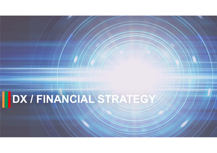# **DX / FINANCIAL STRATEGY**

Copyright (C) 2021 Seven & i Holdings Co., Ltd. All Rights Reserved.

 $\sim$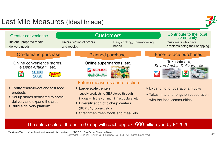# Last Mile Measures (Ideal Image)





### The sales scale of the entire Group will reach approx. 600 billion yen by FY2026.

Copyright (C) 2021 Seven & i Holdings Co., Ltd. All Rights Reserved. \*2BOPIS: Buy Online Pick-up In Store \*1 *e.Depa-Chika*: online department store with food section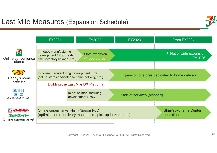

|                                                   | <b>FY2021</b>                                                                                | <b>FY2022</b>                                                                            | <b>FY2023</b>                                  | From FY2024                                            |
|---------------------------------------------------|----------------------------------------------------------------------------------------------|------------------------------------------------------------------------------------------|------------------------------------------------|--------------------------------------------------------|
| <b>ELEVEN</b><br>Online convenience<br>stores     | In-house manufacturing<br>development / PoC (real-<br>time inventory linkage, etc.)          | Store expansion<br>$\blacktriangleright$ 1,000 stores                                    |                                                | $\blacktriangleright$ Nationwide expansion<br>(FY2026) |
| Denny's home<br>delivery                          | In-house manufacturing development / PoC<br>(set up stores dedicated to home delivery, etc.) |                                                                                          | Expansion of stores dedicated to home delivery |                                                        |
| <b>SETBU</b><br>S <sub>O</sub> GO<br>e.Depa-Chika |                                                                                              | <b>Building the Last Mile DX Platform</b><br>In-house manufacturing<br>development / PoC | Start of services (planned)                    |                                                        |
| イト・ヨ・カドー<br>ネットスーパー<br>Online supermarket         | Online supermarket Nishi-Nippori PoC                                                         | (optimization of delivery mechanism, pick-up lockers, etc.)                              |                                                | <b>Shin-Yokohama Center</b><br>operation               |

Copyright (C) 2021 Seven & i Holdings Co., Ltd. All Rights Reserved.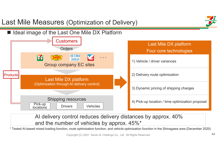#### Last Mile Measures (Optimization of Delivery) ■ Ideal image of the Last One Mile DX Platform **Customers** Last Mile DX platform Orders Four core technologies **SETBU** ELEVEN **・・・SOGO** 1) Vehicle / driver variances Group company EC sites 2) Delivery route optimization Products Last Mile DX platform (Optimization through AI delivery control) 3) Dynamic pricing of shipping charges Shipping resources 4) Pick-up location / time optimization proposal Pick-up Drivers Vehicles **locations**

## AI delivery control reduces delivery distances by approx. 40% and the number of vehicles by approx. 45%\*

\* Tested AI-based mixed loading function, route optimization function, and vehicle optimization function in the Shinagawa area (December 2020)

Copyright (C) 2021 Seven & i Holdings Co., Ltd. All Rights Reserved. <sup>44</sup>